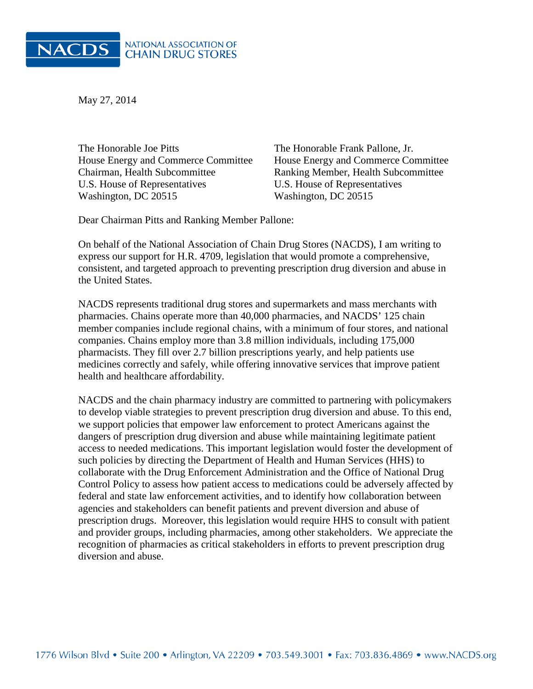

May 27, 2014

The Honorable Joe Pitts The Honorable Frank Pallone, Jr. House Energy and Commerce Committee House Energy and Commerce Committee Chairman, Health Subcommittee Ranking Member, Health Subcommittee U.S. House of Representatives U.S. House of Representatives Washington, DC 20515 Washington, DC 20515

Dear Chairman Pitts and Ranking Member Pallone:

On behalf of the National Association of Chain Drug Stores (NACDS), I am writing to express our support for H.R. 4709, legislation that would promote a comprehensive, consistent, and targeted approach to preventing prescription drug diversion and abuse in the United States.

NACDS represents traditional drug stores and supermarkets and mass merchants with pharmacies. Chains operate more than 40,000 pharmacies, and NACDS' 125 chain member companies include regional chains, with a minimum of four stores, and national companies. Chains employ more than 3.8 million individuals, including 175,000 pharmacists. They fill over 2.7 billion prescriptions yearly, and help patients use medicines correctly and safely, while offering innovative services that improve patient health and healthcare affordability.

NACDS and the chain pharmacy industry are committed to partnering with policymakers to develop viable strategies to prevent prescription drug diversion and abuse. To this end, we support policies that empower law enforcement to protect Americans against the dangers of prescription drug diversion and abuse while maintaining legitimate patient access to needed medications. This important legislation would foster the development of such policies by directing the Department of Health and Human Services (HHS) to collaborate with the Drug Enforcement Administration and the Office of National Drug Control Policy to assess how patient access to medications could be adversely affected by federal and state law enforcement activities, and to identify how collaboration between agencies and stakeholders can benefit patients and prevent diversion and abuse of prescription drugs. Moreover, this legislation would require HHS to consult with patient and provider groups, including pharmacies, among other stakeholders. We appreciate the recognition of pharmacies as critical stakeholders in efforts to prevent prescription drug diversion and abuse.